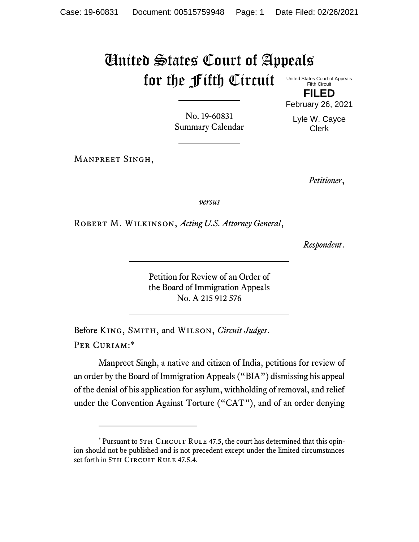## United States Court of Appeals for the Fifth Circuit

United States Court of Appeals Fifth Circuit

**FILED** February 26, 2021

Lyle W. Cayce Clerk

No. 19-60831 Summary Calendar

Manpreet Singh,

*Petitioner*,

*versus*

Robert M. Wilkinson, *Acting U.S. Attorney General*,

*Respondent*.

Petition for Review of an Order of the Board of Immigration Appeals No. A 215 912 576

Before King, Smith, and Wilson, *Circuit Judges*. Per Curiam:\*

Manpreet Singh, a native and citizen of India, petitions for review of an order by the Board of Immigration Appeals ("BIA") dismissing his appeal of the denial of his application for asylum, withholding of removal, and relief under the Convention Against Torture ("CAT"), and of an order denying

<sup>\*</sup> Pursuant to 5TH CIRCUIT RULE 47.5, the court has determined that this opinion should not be published and is not precedent except under the limited circumstances set forth in 5TH CIRCUIT RULE 47.5.4.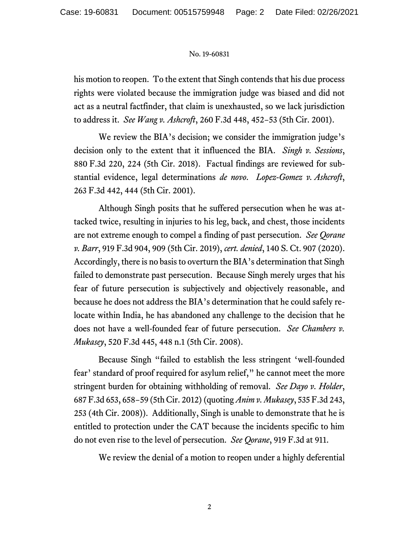## No. 19-60831

his motion to reopen. To the extent that Singh contends that his due process rights were violated because the immigration judge was biased and did not act as a neutral factfinder, that claim is unexhausted, so we lack jurisdiction to address it. *See Wang v. Ashcroft*, 260 F.3d 448, 452−53 (5th Cir. 2001).

We review the BIA's decision; we consider the immigration judge's decision only to the extent that it influenced the BIA. *Singh v. Sessions*, 880 F.3d 220, 224 (5th Cir. 2018). Factual findings are reviewed for substantial evidence, legal determinations *de novo*. *Lopez-Gomez v. Ashcroft*, 263 F.3d 442, 444 (5th Cir. 2001).

Although Singh posits that he suffered persecution when he was attacked twice, resulting in injuries to his leg, back, and chest, those incidents are not extreme enough to compel a finding of past persecution. *See Qorane v. Barr*, 919 F.3d 904, 909 (5th Cir. 2019), *cert. denied*, 140 S. Ct. 907 (2020). Accordingly, there is no basis to overturn the BIA's determination that Singh failed to demonstrate past persecution. Because Singh merely urges that his fear of future persecution is subjectively and objectively reasonable, and because he does not address the BIA's determination that he could safely relocate within India, he has abandoned any challenge to the decision that he does not have a well-founded fear of future persecution. *See Chambers v. Mukasey*, 520 F.3d 445, 448 n.1 (5th Cir. 2008).

Because Singh "failed to establish the less stringent 'well-founded fear' standard of proof required for asylum relief," he cannot meet the more stringent burden for obtaining withholding of removal. *See Dayo v. Holder*, 687 F.3d 653, 658−59 (5th Cir. 2012) (quoting *Anim v. Mukasey*, 535 F.3d 243, 253 (4th Cir. 2008)). Additionally, Singh is unable to demonstrate that he is entitled to protection under the CAT because the incidents specific to him do not even rise to the level of persecution. *See Qorane*, 919 F.3d at 911.

We review the denial of a motion to reopen under a highly deferential